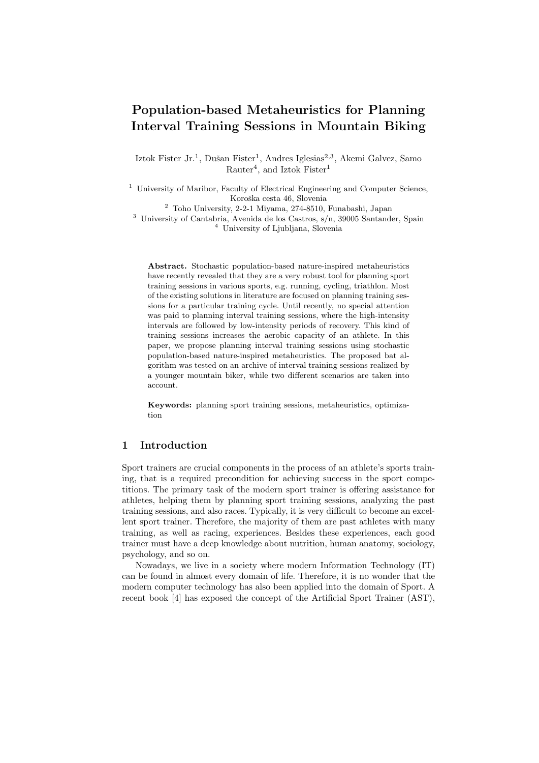# **Population-based Metaheuristics for Planning Interval Training Sessions in Mountain Biking**

Iztok Fister Jr.<sup>1</sup>, Dušan Fister<sup>1</sup>, Andres Iglesias<sup>2,3</sup>, Akemi Galvez, Samo Rauter<sup>4</sup>, and Iztok Fister<sup>1</sup>

<sup>1</sup> University of Maribor, Faculty of Electrical Engineering and Computer Science, Koroška cesta 46, Slovenia

<sup>2</sup> Toho University, 2-2-1 Miyama, 274-8510, Funabashi, Japan

<sup>3</sup> University of Cantabria, Avenida de los Castros, s/n, 39005 Santander, Spain <sup>4</sup> University of Liubliana, Slovenia

**Abstract.** Stochastic population-based nature-inspired metaheuristics have recently revealed that they are a very robust tool for planning sport training sessions in various sports, e.g. running, cycling, triathlon. Most of the existing solutions in literature are focused on planning training sessions for a particular training cycle. Until recently, no special attention was paid to planning interval training sessions, where the high-intensity intervals are followed by low-intensity periods of recovery. This kind of training sessions increases the aerobic capacity of an athlete. In this paper, we propose planning interval training sessions using stochastic population-based nature-inspired metaheuristics. The proposed bat algorithm was tested on an archive of interval training sessions realized by a younger mountain biker, while two different scenarios are taken into account.

**Keywords:** planning sport training sessions, metaheuristics, optimization

## **1 Introduction**

Sport trainers are crucial components in the process of an athlete's sports training, that is a required precondition for achieving success in the sport competitions. The primary task of the modern sport trainer is offering assistance for athletes, helping them by planning sport training sessions, analyzing the past training sessions, and also races. Typically, it is very difficult to become an excellent sport trainer. Therefore, the majority of them are past athletes with many training, as well as racing, experiences. Besides these experiences, each good trainer must have a deep knowledge about nutrition, human anatomy, sociology, psychology, and so on.

Nowadays, we live in a society where modern Information Technology (IT) can be found in almost every domain of life. Therefore, it is no wonder that the modern computer technology has also been applied into the domain of Sport. A recent book [4] has exposed the concept of the Artificial Sport Trainer (AST),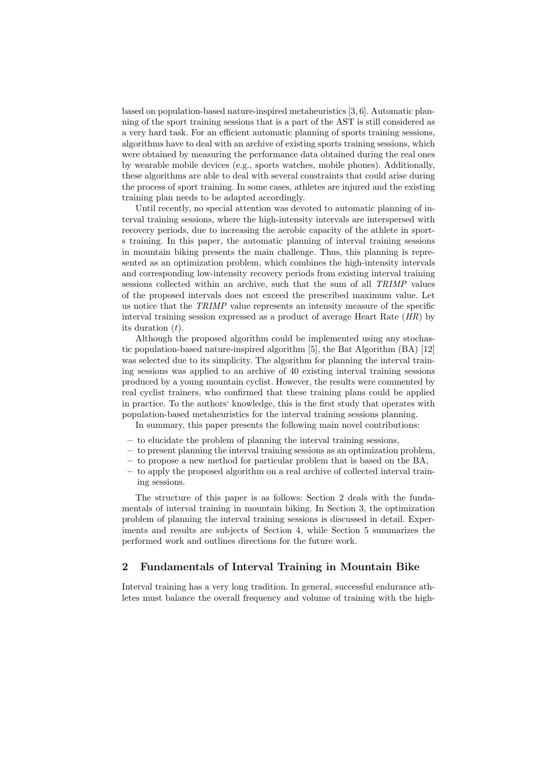based on population-based nature-inspired metaheuristics [3, 6]. Automatic planning of the sport training sessions that is a part of the AST is still considered as a very hard task. For an efficient automatic planning of sports training sessions, algorithms have to deal with an archive of existing sports training sessions, which were obtained by measuring the performance data obtained during the real ones by wearable mobile devices (e.g., sports watches, mobile phones). Additionally, these algorithms are able to deal with several constraints that could arise during the process of sport training. In some cases, athletes are injured and the existing training plan needs to be adapted accordingly.

Until recently, no special attention was devoted to automatic planning of interval training sessions, where the high-intensity intervals are interspersed with recovery periods, due to increasing the aerobic capacity of the athlete in sports training. In this paper, the automatic planning of interval training sessions in mountain biking presents the main challenge. Thus, this planning is represented as an optimization problem, which combines the high-intensity intervals and corresponding low-intensity recovery periods from existing interval training sessions collected within an archive, such that the sum of all *TRIMP* values of the proposed intervals does not exceed the prescribed maximum value. Let us notice that the *TRIMP* value represents an intensity measure of the specific interval training session expressed as a product of average Heart Rate (*HR*) by its duration (*t*).

Although the proposed algorithm could be implemented using any stochastic population-based nature-inspired algorithm [5], the Bat Algorithm (BA) [12] was selected due to its simplicity. The algorithm for planning the interval training sessions was applied to an archive of 40 existing interval training sessions produced by a young mountain cyclist. However, the results were commented by real cyclist trainers, who confirmed that these training plans could be applied in practice. To the authors' knowledge, this is the first study that operates with population-based metaheuristics for the interval training sessions planning.

In summary, this paper presents the following main novel contributions:

- **–** to elucidate the problem of planning the interval training sessions,
- **–** to present planning the interval training sessions as an optimization problem,
- **–** to propose a new method for particular problem that is based on the BA,
- **–** to apply the proposed algorithm on a real archive of collected interval training sessions.

The structure of this paper is as follows: Section 2 deals with the fundamentals of interval training in mountain biking. In Section 3, the optimization problem of planning the interval training sessions is discussed in detail. Experiments and results are subjects of Section 4, while Section 5 summarizes the performed work and outlines directions for the future work.

## **2 Fundamentals of Interval Training in Mountain Bike**

Interval training has a very long tradition. In general, successful endurance athletes must balance the overall frequency and volume of training with the high-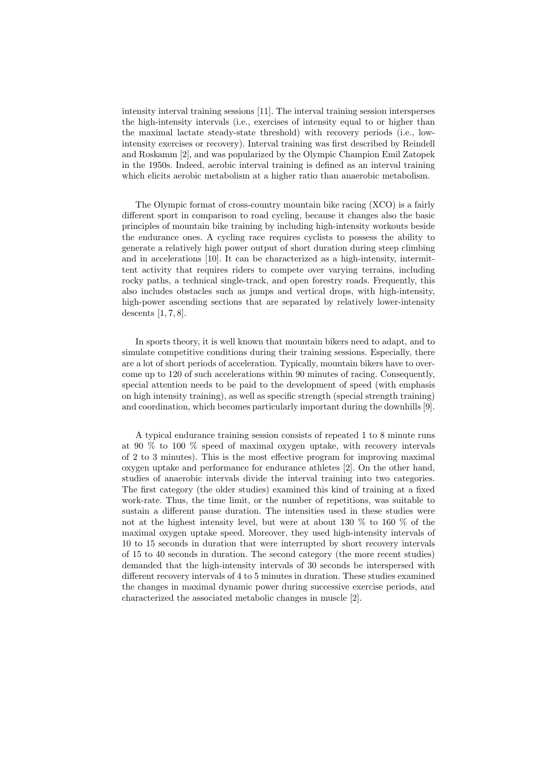intensity interval training sessions [11]. The interval training session intersperses the high-intensity intervals (i.e., exercises of intensity equal to or higher than the maximal lactate steady-state threshold) with recovery periods (i.e., lowintensity exercises or recovery). Interval training was first described by Reindell and Roskamm [2], and was popularized by the Olympic Champion Emil Zatopek in the 1950s. Indeed, aerobic interval training is defined as an interval training which elicits aerobic metabolism at a higher ratio than anaerobic metabolism.

The Olympic format of cross-country mountain bike racing (XCO) is a fairly different sport in comparison to road cycling, because it changes also the basic principles of mountain bike training by including high-intensity workouts beside the endurance ones. A cycling race requires cyclists to possess the ability to generate a relatively high power output of short duration during steep climbing and in accelerations [10]. It can be characterized as a high-intensity, intermittent activity that requires riders to compete over varying terrains, including rocky paths, a technical single-track, and open forestry roads. Frequently, this also includes obstacles such as jumps and vertical drops, with high-intensity, high-power ascending sections that are separated by relatively lower-intensity descents [1, 7, 8].

In sports theory, it is well known that mountain bikers need to adapt, and to simulate competitive conditions during their training sessions. Especially, there are a lot of short periods of acceleration. Typically, mountain bikers have to overcome up to 120 of such accelerations within 90 minutes of racing. Consequently, special attention needs to be paid to the development of speed (with emphasis on high intensity training), as well as specific strength (special strength training) and coordination, which becomes particularly important during the downhills [9].

A typical endurance training session consists of repeated 1 to 8 minute runs at 90 % to 100 % speed of maximal oxygen uptake, with recovery intervals of 2 to 3 minutes). This is the most effective program for improving maximal oxygen uptake and performance for endurance athletes [2]. On the other hand, studies of anaerobic intervals divide the interval training into two categories. The first category (the older studies) examined this kind of training at a fixed work-rate. Thus, the time limit, or the number of repetitions, was suitable to sustain a different pause duration. The intensities used in these studies were not at the highest intensity level, but were at about 130 % to 160 % of the maximal oxygen uptake speed. Moreover, they used high-intensity intervals of 10 to 15 seconds in duration that were interrupted by short recovery intervals of 15 to 40 seconds in duration. The second category (the more recent studies) demanded that the high-intensity intervals of 30 seconds be interspersed with different recovery intervals of 4 to 5 minutes in duration. These studies examined the changes in maximal dynamic power during successive exercise periods, and characterized the associated metabolic changes in muscle [2].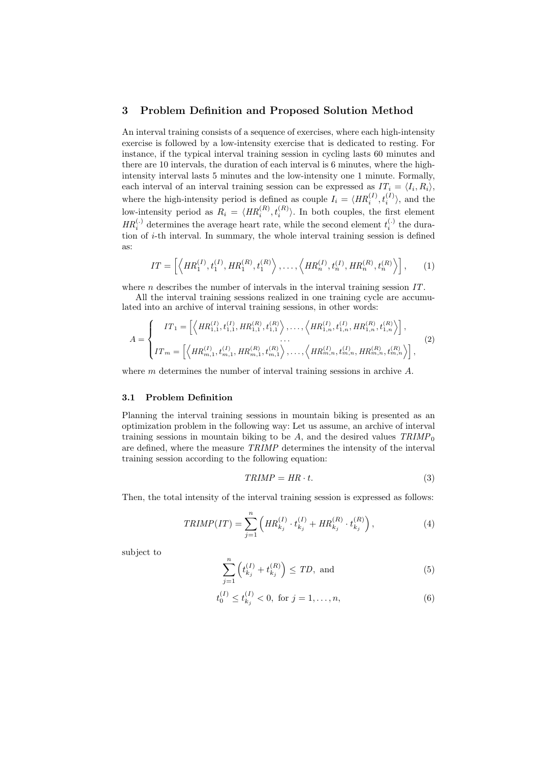#### **3 Problem Definition and Proposed Solution Method**

An interval training consists of a sequence of exercises, where each high-intensity exercise is followed by a low-intensity exercise that is dedicated to resting. For instance, if the typical interval training session in cycling lasts 60 minutes and there are 10 intervals, the duration of each interval is 6 minutes, where the highintensity interval lasts 5 minutes and the low-intensity one 1 minute. Formally, each interval of an interval training session can be expressed as  $IT_i = \langle I_i, R_i \rangle$ , where the high-intensity period is defined as couple  $I_i = \langle HR_i^{(I)}, t_i^{(I)} \rangle$ , and the low-intensity period as  $R_i = \langle HR_i^{(R)}, t_i^{(R)}\rangle$ . In both couples, the first element  $HR_i^{(.)}$  determines the average heart rate, while the second element  $t_i^{(.)}$  the duration of *i*-th interval. In summary, the whole interval training session is defined as:

$$
IT = \left[ \left\langle HR_1^{(I)}, t_1^{(I)}, HR_1^{(R)}, t_1^{(R)} \right\rangle, \dots, \left\langle HR_n^{(I)}, t_n^{(I)}, HR_n^{(R)}, t_n^{(R)} \right\rangle \right], \qquad (1)
$$

where *n* describes the number of intervals in the interval training session *IT*.

All the interval training sessions realized in one training cycle are accumulated into an archive of interval training sessions, in other words:

$$
A = \begin{cases} IT_1 = \left[ \left\langle HR_{1,1}^{(I)}, t_{1,1}^{(I)}, HR_{1,1}^{(R)}, t_{1,1}^{(R)} \right\rangle, \dots, \left\langle HR_{1,n}^{(I)}, t_{1,n}^{(I)}, HR_{1,n}^{(R)}, t_{1,n}^{(R)} \right\rangle \right], \\ \dots \\ IT_m = \left[ \left\langle HR_{m,1}^{(I)}, t_{m,1}^{(I)}, HR_{m,1}^{(R)}, t_{m,1}^{(R)} \right\rangle, \dots, \left\langle HR_{m,n}^{(I)}, t_{m,n}^{(R)}, HR_{m,n}^{(R)}, t_{m,n}^{(R)} \right\rangle \right], \end{cases} (2)
$$

where *m* determines the number of interval training sessions in archive *A*.

#### **3.1 Problem Definition**

Planning the interval training sessions in mountain biking is presented as an optimization problem in the following way: Let us assume, an archive of interval training sessions in mountain biking to be  $A$ , and the desired values  $TRIMP_0$ are defined, where the measure *TRIMP* determines the intensity of the interval training session according to the following equation:

$$
TRIMP = HR \cdot t. \tag{3}
$$

Then, the total intensity of the interval training session is expressed as follows:

$$
TRIMP(IT) = \sum_{j=1}^{n} \left( HR_{k_j}^{(I)} \cdot t_{k_j}^{(I)} + HR_{k_j}^{(R)} \cdot t_{k_j}^{(R)} \right), \tag{4}
$$

subject to

$$
\sum_{j=1}^{n} \left( t_{k_j}^{(I)} + t_{k_j}^{(R)} \right) \leq TD, \text{ and } (5)
$$

$$
t_0^{(I)} \le t_{k_j}^{(I)} < 0, \text{ for } j = 1, \dots, n,\tag{6}
$$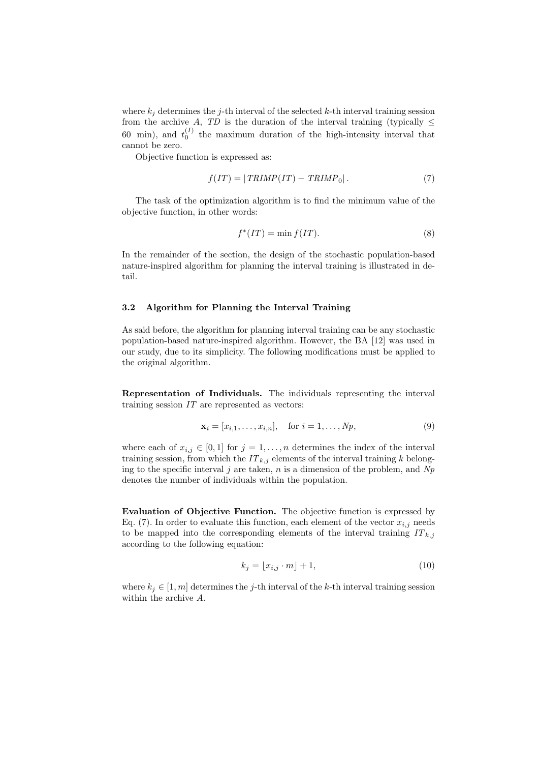where  $k_j$  determines the *j*-th interval of the selected  $k$ -th interval training session from the archive *A*, *TD* is the duration of the interval training (typically  $\leq$ 60 min), and  $t_0^{(I)}$  the maximum duration of the high-intensity interval that cannot be zero.

Objective function is expressed as:

$$
f(IT) = |TRIMP(IT) - TRIMP0|.
$$
\n(7)

The task of the optimization algorithm is to find the minimum value of the objective function, in other words:

$$
f^*(IT) = \min f(IT). \tag{8}
$$

In the remainder of the section, the design of the stochastic population-based nature-inspired algorithm for planning the interval training is illustrated in detail.

#### **3.2 Algorithm for Planning the Interval Training**

As said before, the algorithm for planning interval training can be any stochastic population-based nature-inspired algorithm. However, the BA [12] was used in our study, due to its simplicity. The following modifications must be applied to the original algorithm.

**Representation of Individuals.** The individuals representing the interval training session *IT* are represented as vectors:

$$
\mathbf{x}_{i} = [x_{i,1}, \dots, x_{i,n}], \quad \text{for } i = 1, \dots, Np,
$$
 (9)

where each of  $x_{i,j} \in [0,1]$  for  $j = 1, \ldots, n$  determines the index of the interval training session, from which the  $IT_{k,j}$  elements of the interval training *k* belonging to the specific interval *j* are taken, *n* is a dimension of the problem, and *Np* denotes the number of individuals within the population.

**Evaluation of Objective Function.** The objective function is expressed by Eq. (7). In order to evaluate this function, each element of the vector  $x_{i,j}$  needs to be mapped into the corresponding elements of the interval training  $IT_{k,j}$ according to the following equation:

$$
k_j = \lfloor x_{i,j} \cdot m \rfloor + 1,\tag{10}
$$

where  $k_j \in [1, m]$  determines the *j*-th interval of the *k*-th interval training session within the archive *A*.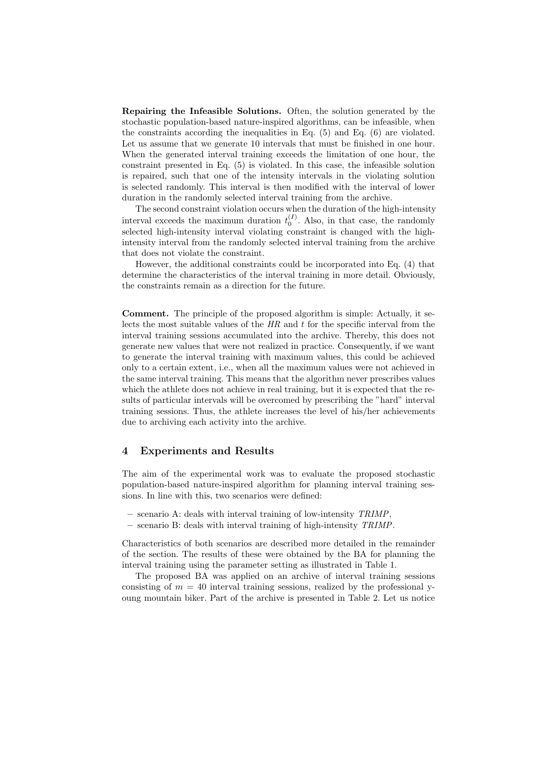**Repairing the Infeasible Solutions.** Often, the solution generated by the stochastic population-based nature-inspired algorithms, can be infeasible, when the constraints according the inequalities in Eq. (5) and Eq. (6) are violated. Let us assume that we generate 10 intervals that must be finished in one hour. When the generated interval training exceeds the limitation of one hour, the constraint presented in Eq. (5) is violated. In this case, the infeasible solution is repaired, such that one of the intensity intervals in the violating solution is selected randomly. This interval is then modified with the interval of lower duration in the randomly selected interval training from the archive.

The second constraint violation occurs when the duration of the high-intensity interval exceeds the maximum duration  $t_0^{(I)}$ . Also, in that case, the randomly selected high-intensity interval violating constraint is changed with the highintensity interval from the randomly selected interval training from the archive that does not violate the constraint.

However, the additional constraints could be incorporated into Eq. (4) that determine the characteristics of the interval training in more detail. Obviously, the constraints remain as a direction for the future.

**Comment.** The principle of the proposed algorithm is simple: Actually, it selects the most suitable values of the *HR* and *t* for the specific interval from the interval training sessions accumulated into the archive. Thereby, this does not generate new values that were not realized in practice. Consequently, if we want to generate the interval training with maximum values, this could be achieved only to a certain extent, i.e., when all the maximum values were not achieved in the same interval training. This means that the algorithm never prescribes values which the athlete does not achieve in real training, but it is expected that the results of particular intervals will be overcomed by prescribing the "hard" interval training sessions. Thus, the athlete increases the level of his/her achievements due to archiving each activity into the archive.

## **4 Experiments and Results**

The aim of the experimental work was to evaluate the proposed stochastic population-based nature-inspired algorithm for planning interval training sessions. In line with this, two scenarios were defined:

- **–** scenario A: deals with interval training of low-intensity *TRIMP*,
- **–** scenario B: deals with interval training of high-intensity *TRIMP*.

Characteristics of both scenarios are described more detailed in the remainder of the section. The results of these were obtained by the BA for planning the interval training using the parameter setting as illustrated in Table 1.

The proposed BA was applied on an archive of interval training sessions consisting of  $m = 40$  interval training sessions, realized by the professional young mountain biker. Part of the archive is presented in Table 2. Let us notice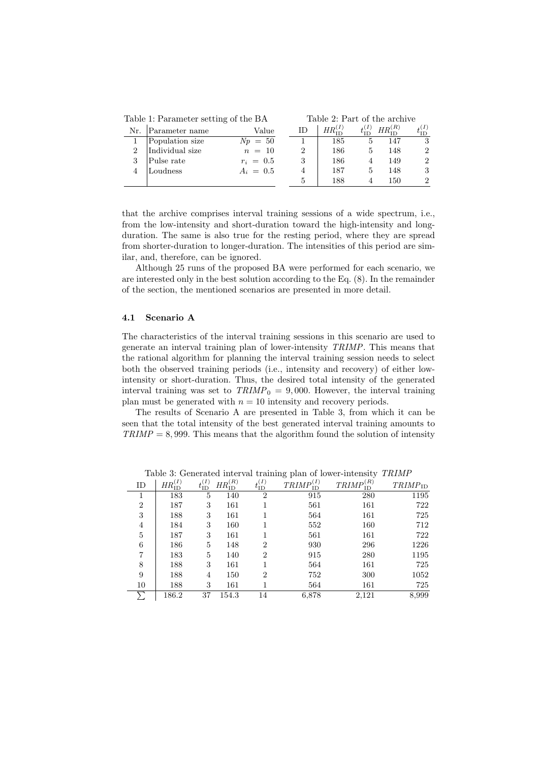Table 1: Parameter setting of the BA

|                | Table 1: Parameter setting of the BA |             |   |                 | Table 2: Part of the archive |                        |                             |  |
|----------------|--------------------------------------|-------------|---|-----------------|------------------------------|------------------------|-----------------------------|--|
| Nr.            | Parameter name                       | Value       |   | $HR_{ID}^{(I)}$ | $t_{\text{ID}}^{(I)}$        | $HR_{\text{ID}}^{(R)}$ |                             |  |
|                | Population size                      | $Np = 50$   |   | 185             | 5                            | 147                    | 3                           |  |
| $\overline{2}$ | Individual size                      | $n = 10$    | 2 | 186             | 5                            | 148                    | $\mathcal{D}_{\mathcal{L}}$ |  |
|                | Pulse rate                           | $r_i = 0.5$ |   | 186             | 4                            | 149                    | $\mathcal{D}_{\mathcal{L}}$ |  |
|                | Loudness                             | $A_i = 0.5$ |   | 187             | 5.                           | 148                    | 3                           |  |
|                |                                      |             | 5 | 188             |                              | 150                    | 2                           |  |

that the archive comprises interval training sessions of a wide spectrum, i.e., from the low-intensity and short-duration toward the high-intensity and longduration. The same is also true for the resting period, where they are spread from shorter-duration to longer-duration. The intensities of this period are similar, and, therefore, can be ignored.

Although 25 runs of the proposed BA were performed for each scenario, we are interested only in the best solution according to the Eq. (8). In the remainder of the section, the mentioned scenarios are presented in more detail.

#### **4.1 Scenario A**

The characteristics of the interval training sessions in this scenario are used to generate an interval training plan of lower-intensity *TRIMP*. This means that the rational algorithm for planning the interval training session needs to select both the observed training periods (i.e., intensity and recovery) of either lowintensity or short-duration. Thus, the desired total intensity of the generated interval training was set to  $TRIMP_0 = 9,000$ . However, the interval training plan must be generated with  $n = 10$  intensity and recovery periods.

The results of Scenario A are presented in Table 3, from which it can be seen that the total intensity of the best generated interval training amounts to  $TRIMP = 8,999$ . This means that the algorithm found the solution of intensity

| ID             | $HR_{\text{ID}}^{(I)}$ | (I)<br>'ID | (R)<br>$HR_{\text{ID}}^{(R)}$ | $_+(I)$<br>$\iota_{\mathrm{ID}}$ | $TRIMP_{\tau\tau}^{(I)}$<br>ΙD | $TRIMP_{\tau\tau}^{(R)}$<br>ΙD | $TRIMP_{ID}$ |
|----------------|------------------------|------------|-------------------------------|----------------------------------|--------------------------------|--------------------------------|--------------|
|                | 183                    | 5          | 140                           | $\overline{2}$                   | 915                            | 280                            | 1195         |
| $\overline{2}$ | 187                    | 3          | 161                           |                                  | 561                            | 161                            | 722          |
| 3              | 188                    | 3          | 161                           |                                  | 564                            | 161                            | 725          |
| 4              | 184                    | 3          | 160                           |                                  | 552                            | 160                            | 712          |
| 5              | 187                    | 3          | 161                           |                                  | 561                            | 161                            | 722          |
| 6              | 186                    | 5          | 148                           | $\overline{2}$                   | 930                            | 296                            | 1226         |
| 7              | 183                    | 5          | 140                           | $\overline{2}$                   | 915                            | 280                            | 1195         |
| 8              | 188                    | 3          | 161                           |                                  | 564                            | 161                            | 725          |
| 9              | 188                    | 4          | 150                           | $\overline{2}$                   | 752                            | 300                            | 1052         |
| 10             | 188                    | 3          | 161                           |                                  | 564                            | 161                            | 725          |
|                | 186.2                  | 37         | 154.3                         | 14                               | 6,878                          | 2,121                          | 8,999        |

Table 3: Generated interval training plan of lower-intensity *TRIMP*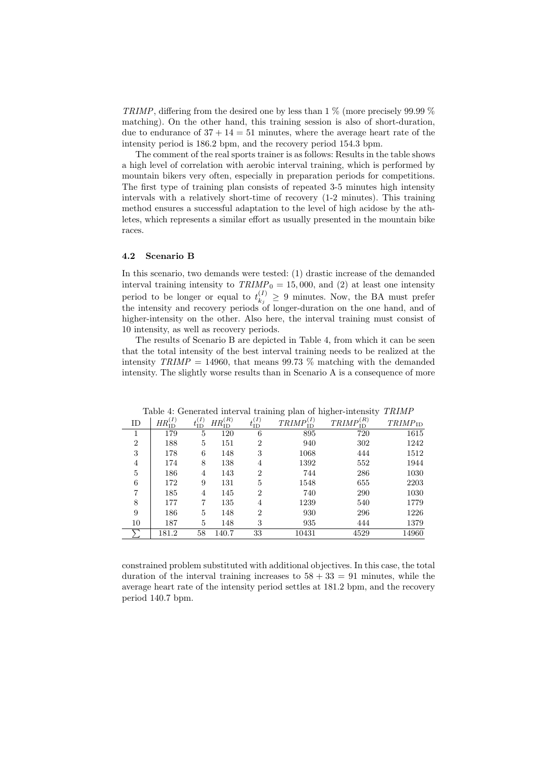*TRIMP*, differing from the desired one by less than 1 % (more precisely 99*.*99 % matching). On the other hand, this training session is also of short-duration, due to endurance of  $37 + 14 = 51$  minutes, where the average heart rate of the intensity period is 186*.*2 bpm, and the recovery period 154*.*3 bpm.

The comment of the real sports trainer is as follows: Results in the table shows a high level of correlation with aerobic interval training, which is performed by mountain bikers very often, especially in preparation periods for competitions. The first type of training plan consists of repeated 3-5 minutes high intensity intervals with a relatively short-time of recovery (1-2 minutes). This training method ensures a successful adaptation to the level of high acidose by the athletes, which represents a similar effort as usually presented in the mountain bike races.

#### **4.2 Scenario B**

In this scenario, two demands were tested: (1) drastic increase of the demanded interval training intensity to  $TRIMP_0 = 15,000$ , and (2) at least one intensity period to be longer or equal to  $t_{k_i}^{(I)}$  $\binom{I}{k_j}$  ≥ 9 minutes. Now, the BA must prefer the intensity and recovery periods of longer-duration on the one hand, and of higher-intensity on the other. Also here, the interval training must consist of 10 intensity, as well as recovery periods.

The results of Scenario B are depicted in Table 4, from which it can be seen that the total intensity of the best interval training needs to be realized at the intensity *TRIMP* = 14960, that means 99.73  $\%$  matching with the demanded intensity. The slightly worse results than in Scenario A is a consequence of more

|       | $\iota_{\text{ID}}$             |            | $\iota_{\mathrm{ID}}$           | ΙD               | ID                       | $TRIMP$ <sub>ID</sub>                     |
|-------|---------------------------------|------------|---------------------------------|------------------|--------------------------|-------------------------------------------|
| 179   | 5                               | 120        | 6                               | 895              | 720                      | 1615                                      |
| 188   | 5                               | 151        | $\overline{2}$                  | 940              | 302                      | 1242                                      |
| 178   | 6                               | 148        | 3                               | 1068             | 444                      | 1512                                      |
| 174   | 8                               | 138        | 4                               | 1392             | 552                      | 1944                                      |
| 186   | 4                               | 143        | $\overline{2}$                  | 744              | 286                      | 1030                                      |
| 172   | 9                               | 131        | 5                               | 1548             | 655                      | 2203                                      |
| 185   | 4                               | 145        | $\overline{2}$                  | 740              | 290                      | 1030                                      |
| 177   |                                 | 135        | 4                               | 1239             | 540                      | 1779                                      |
| 186   | 5                               | 148        | $\overline{2}$                  | 930              | 296                      | 1226                                      |
| 187   | 5                               | 148        | 3                               | 935              | 444                      | 1379                                      |
| 181.2 | 58                              | 140.7      | 33                              | 10431            | 4529                     | 14960                                     |
|       | $\mathit{HR}_{\text{ID}}^{(I)}$ | $\iota(I)$ | $\mathit{HR}_{\text{ID}}^{(R)}$ | $\mathcal{L}(I)$ | $TRIMP_{\tau\tau}^{(I)}$ | O F<br>$\cup$<br>$TRIMP_{\tau\tau}^{(R)}$ |

Table 4: Generated interval training plan of higher-intensity *TRIMP*

constrained problem substituted with additional objectives. In this case, the total duration of the interval training increases to  $58 + 33 = 91$  minutes, while the average heart rate of the intensity period settles at 181.2 bpm, and the recovery period 140.7 bpm.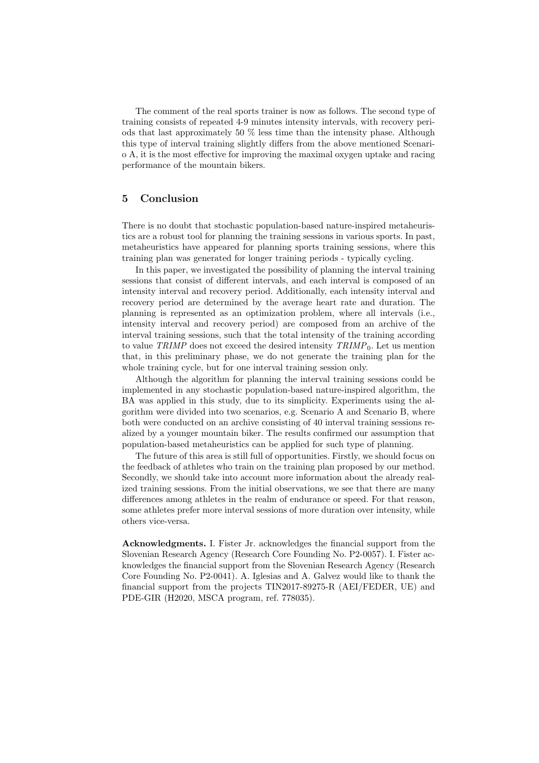The comment of the real sports trainer is now as follows. The second type of training consists of repeated 4-9 minutes intensity intervals, with recovery periods that last approximately 50 % less time than the intensity phase. Although this type of interval training slightly differs from the above mentioned Scenario A, it is the most effective for improving the maximal oxygen uptake and racing performance of the mountain bikers.

## **5 Conclusion**

There is no doubt that stochastic population-based nature-inspired metaheuristics are a robust tool for planning the training sessions in various sports. In past, metaheuristics have appeared for planning sports training sessions, where this training plan was generated for longer training periods - typically cycling.

In this paper, we investigated the possibility of planning the interval training sessions that consist of different intervals, and each interval is composed of an intensity interval and recovery period. Additionally, each intensity interval and recovery period are determined by the average heart rate and duration. The planning is represented as an optimization problem, where all intervals (i.e., intensity interval and recovery period) are composed from an archive of the interval training sessions, such that the total intensity of the training according to value *TRIMP* does not exceed the desired intensity  $TRIMP_0$ . Let us mention that, in this preliminary phase, we do not generate the training plan for the whole training cycle, but for one interval training session only.

Although the algorithm for planning the interval training sessions could be implemented in any stochastic population-based nature-inspired algorithm, the BA was applied in this study, due to its simplicity. Experiments using the algorithm were divided into two scenarios, e.g. Scenario A and Scenario B, where both were conducted on an archive consisting of 40 interval training sessions realized by a younger mountain biker. The results confirmed our assumption that population-based metaheuristics can be applied for such type of planning.

The future of this area is still full of opportunities. Firstly, we should focus on the feedback of athletes who train on the training plan proposed by our method. Secondly, we should take into account more information about the already realized training sessions. From the initial observations, we see that there are many differences among athletes in the realm of endurance or speed. For that reason, some athletes prefer more interval sessions of more duration over intensity, while others vice-versa.

**Acknowledgments.** I. Fister Jr. acknowledges the financial support from the Slovenian Research Agency (Research Core Founding No. P2-0057). I. Fister acknowledges the financial support from the Slovenian Research Agency (Research Core Founding No. P2-0041). A. Iglesias and A. Galvez would like to thank the financial support from the projects TIN2017-89275-R (AEI/FEDER, UE) and PDE-GIR (H2020, MSCA program, ref. 778035).